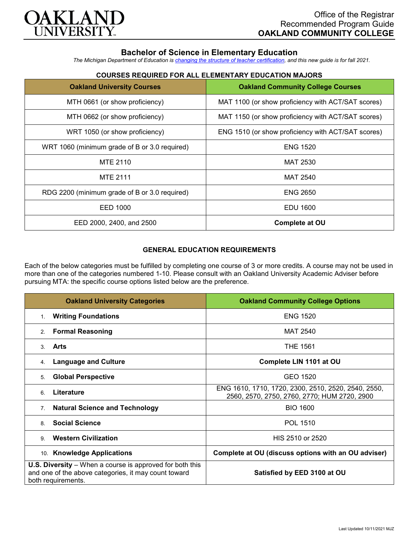

# **Bachelor of Science in Elementary Education**

*The Michigan Department of Education is [changing the structure of teacher certification,](https://docs.google.com/document/d/1W1uUK14Njx6WAB56T4jHbat65OZyg6TS04LdNWMXEcI/edit) and this new guide is for fall 2021.*

| <b>Oakland University Courses</b>             | <b>Oakland Community College Courses</b>           |
|-----------------------------------------------|----------------------------------------------------|
| MTH 0661 (or show proficiency)                | MAT 1100 (or show proficiency with ACT/SAT scores) |
| MTH 0662 (or show proficiency)                | MAT 1150 (or show proficiency with ACT/SAT scores) |
| WRT 1050 (or show proficiency)                | ENG 1510 (or show proficiency with ACT/SAT scores) |
| WRT 1060 (minimum grade of B or 3.0 required) | <b>ENG 1520</b>                                    |
| MTE 2110                                      | MAT 2530                                           |
| <b>MTE 2111</b>                               | <b>MAT 2540</b>                                    |
| RDG 2200 (minimum grade of B or 3.0 required) | <b>ENG 2650</b>                                    |
| EED 1000                                      | EDU 1600                                           |
| EED 2000, 2400, and 2500                      | <b>Complete at OU</b>                              |

# **COURSES REQUIRED FOR ALL ELEMENTARY EDUCATION MAJORS**

## **GENERAL EDUCATION REQUIREMENTS**

Each of the below categories must be fulfilled by completing one course of 3 or more credits. A course may not be used in more than one of the categories numbered 1-10. Please consult with an Oakland University Academic Adviser before pursuing MTA: the specific course options listed below are the preference.

| <b>Oakland University Categories</b>                                                                                                          | <b>Oakland Community College Options</b>                                                            |
|-----------------------------------------------------------------------------------------------------------------------------------------------|-----------------------------------------------------------------------------------------------------|
| <b>Writing Foundations</b><br>1.                                                                                                              | <b>ENG 1520</b>                                                                                     |
| <b>Formal Reasoning</b><br>2.                                                                                                                 | <b>MAT 2540</b>                                                                                     |
| Arts<br>3                                                                                                                                     | <b>THE 1561</b>                                                                                     |
| <b>Language and Culture</b><br>4.                                                                                                             | Complete LIN 1101 at OU                                                                             |
| <b>Global Perspective</b><br>5.                                                                                                               | GEO 1520                                                                                            |
| Literature<br>6                                                                                                                               | ENG 1610, 1710, 1720, 2300, 2510, 2520, 2540, 2550,<br>2560, 2570, 2750, 2760, 2770; HUM 2720, 2900 |
| <b>Natural Science and Technology</b><br>7 <sub>1</sub>                                                                                       | <b>BIO 1600</b>                                                                                     |
| <b>Social Science</b><br>8                                                                                                                    | POL 1510                                                                                            |
| <b>Western Civilization</b><br>9                                                                                                              | HIS 2510 or 2520                                                                                    |
| 10. Knowledge Applications                                                                                                                    | Complete at OU (discuss options with an OU adviser)                                                 |
| <b>U.S. Diversity</b> – When a course is approved for both this<br>and one of the above categories, it may count toward<br>both requirements. | Satisfied by EED 3100 at OU                                                                         |